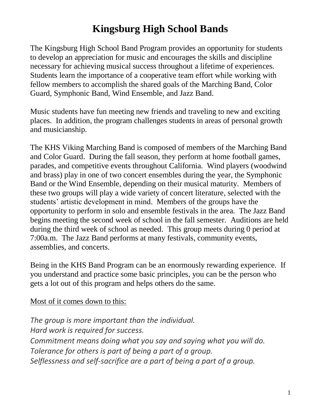# **Kingsburg High School Bands**

The Kingsburg High School Band Program provides an opportunity for students to develop an appreciation for music and encourages the skills and discipline necessary for achieving musical success throughout a lifetime of experiences. Students learn the importance of a cooperative team effort while working with fellow members to accomplish the shared goals of the Marching Band, Color Guard, Symphonic Band, Wind Ensemble, and Jazz Band.

Music students have fun meeting new friends and traveling to new and exciting places. In addition, the program challenges students in areas of personal growth and musicianship.

The KHS Viking Marching Band is composed of members of the Marching Band and Color Guard. During the fall season, they perform at home football games, parades, and competitive events throughout California. Wind players (woodwind and brass) play in one of two concert ensembles during the year, the Symphonic Band or the Wind Ensemble, depending on their musical maturity. Members of these two groups will play a wide variety of concert literature, selected with the students' artistic development in mind. Members of the groups have the opportunity to perform in solo and ensemble festivals in the area. The Jazz Band begins meeting the second week of school in the fall semester. Auditions are held during the third week of school as needed. This group meets during 0 period at 7:00a.m. The Jazz Band performs at many festivals, community events, assemblies, and concerts.

Being in the KHS Band Program can be an enormously rewarding experience. If you understand and practice some basic principles, you can be the person who gets a lot out of this program and helps others do the same.

Most of it comes down to this:

*The group is more important than the individual. Hard work is required for success. Commitment means doing what you say and saying what you will do. Tolerance for others is part of being a part of a group. Selflessness and self-sacrifice are a part of being a part of a group.*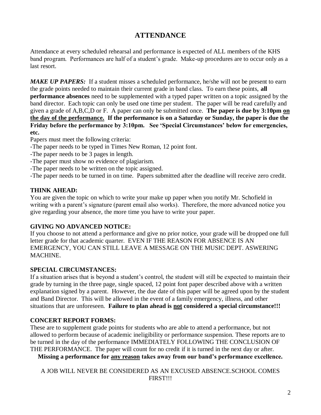## **ATTENDANCE**

Attendance at every scheduled rehearsal and performance is expected of ALL members of the KHS band program. Performances are half of a student's grade. Make-up procedures are to occur only as a last resort.

*MAKE UP PAPERS:* If a student misses a scheduled performance, he/she will not be present to earn the grade points needed to maintain their current grade in band class. To earn these points, **all performance absences** need to be supplemented with a typed paper written on a topic assigned by the band director. Each topic can only be used one time per student. The paper will be read carefully and given a grade of A,B,C,D or F. A paper can only be submitted once. **The paper is due by 3:10pm on the day of the performance. If the performance is on a Saturday or Sunday, the paper is due the Friday before the performance by 3:10pm. See 'Special Circumstances' below for emergencies, etc.** 

Papers must meet the following criteria:

- -The paper needs to be typed in Times New Roman, 12 point font.
- -The paper needs to be 3 pages in length.
- -The paper must show no evidence of plagiarism.
- -The paper needs to be written on the topic assigned.

-The paper needs to be turned in on time. Papers submitted after the deadline will receive zero credit.

### **THINK AHEAD:**

You are given the topic on which to write your make up paper when you notify Mr. Schofield in writing with a parent's signature (parent email also works). Therefore, the more advanced notice you give regarding your absence, the more time you have to write your paper.

#### **GIVING NO ADVANCED NOTICE:**

If you choose to not attend a performance and give no prior notice, your grade will be dropped one full letter grade for that academic quarter. EVEN IF THE REASON FOR ABSENCE IS AN EMERGENCY, YOU CAN STILL LEAVE A MESSAGE ON THE MUSIC DEPT. ASWERING MACHINE.

#### **SPECIAL CIRCUMSTANCES:**

If a situation arises that is beyond a student's control, the student will still be expected to maintain their grade by turning in the three page, single spaced, 12 point font paper described above with a written explanation signed by a parent. However, the due date of this paper will be agreed upon by the student and Band Director. This will be allowed in the event of a family emergency, illness, and other situations that are unforeseen. **Failure to plan ahead is not considered a special circumstance!!!**

## **CONCERT REPORT FORMS:**

These are to supplement grade points for students who are able to attend a performance, but not allowed to perform because of academic ineligibility or performance suspension. These reports are to be turned in the day of the performance IMMEDIATELY FOLLOWING THE CONCLUSION OF THE PERFORMANCE. The paper will count for no credit if it is turned in the next day or after.

**Missing a performance for any reason takes away from our band's performance excellence.**

A JOB WILL NEVER BE CONSIDERED AS AN EXCUSED ABSENCE.SCHOOL COMES FIRST!!!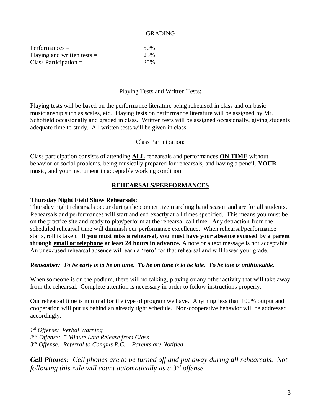#### GRADING

| $Performances =$              | 50% |
|-------------------------------|-----|
| Playing and written tests $=$ | 25% |
| Class Participation $=$       | 25% |

#### Playing Tests and Written Tests:

Playing tests will be based on the performance literature being rehearsed in class and on basic musicianship such as scales, etc. Playing tests on performance literature will be assigned by Mr. Schofield occasionally and graded in class. Written tests will be assigned occasionally, giving students adequate time to study. All written tests will be given in class.

#### Class Participation:

Class participation consists of attending **ALL** rehearsals and performances **ON TIME** without behavior or social problems, being musically prepared for rehearsals, and having a pencil, **YOUR** music, and your instrument in acceptable working condition.

#### **REHEARSALS/PERFORMANCES**

#### **Thursday Night Field Show Rehearsals:**

Thursday night rehearsals occur during the competitive marching band season and are for all students. Rehearsals and performances will start and end exactly at all times specified. This means you must be on the practice site and ready to play/perform at the rehearsal call time. Any detraction from the scheduled rehearsal time will diminish our performance excellence. When rehearsal/performance starts, roll is taken. **If you must miss a rehearsal, you must have your absence excused by a parent through email or telephone at least 24 hours in advance.** A note or a text message is not acceptable. An unexcused rehearsal absence will earn a 'zero' for that rehearsal and will lower your grade.

#### *Remember: To be early is to be on time. To be on time is to be late. To be late is unthinkable.*

When someone is on the podium, there will no talking, playing or any other activity that will take away from the rehearsal. Complete attention is necessary in order to follow instructions properly.

Our rehearsal time is minimal for the type of program we have. Anything less than 100% output and cooperation will put us behind an already tight schedule. Non-cooperative behavior will be addressed accordingly:

*1 st Offense: Verbal Warning 2 nd Offense: 5 Minute Late Release from Class 3 rd Offense: Referral to Campus R.C. – Parents are Notified*

*Cell Phones: Cell phones are to be turned off and put away during all rehearsals. Not following this rule will count automatically as a 3rd offense.*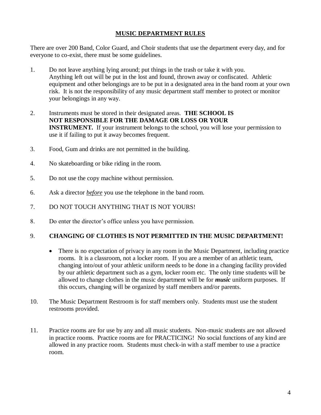#### **MUSIC DEPARTMENT RULES**

There are over 200 Band, Color Guard, and Choir students that use the department every day, and for everyone to co-exist, there must be some guidelines.

- 1. Do not leave anything lying around; put things in the trash or take it with you. Anything left out will be put in the lost and found, thrown away or confiscated. Athletic equipment and other belongings are to be put in a designated area in the band room at your own risk. It is not the responsibility of any music department staff member to protect or monitor your belongings in any way.
- 2. Instruments must be stored in their designated areas. **THE SCHOOL IS NOT RESPONSIBLE FOR THE DAMAGE OR LOSS OR YOUR INSTRUMENT.** If your instrument belongs to the school, you will lose your permission to use it if failing to put it away becomes frequent.
- 3. Food, Gum and drinks are not permitted in the building.
- 4. No skateboarding or bike riding in the room.
- 5. Do not use the copy machine without permission.
- 6. Ask a director *before* you use the telephone in the band room.
- 7. DO NOT TOUCH ANYTHING THAT IS NOT YOURS!
- 8. Do enter the director's office unless you have permission.

#### 9. **CHANGING OF CLOTHES IS NOT PERMITTED IN THE MUSIC DEPARTMENT!**

- There is no expectation of privacy in any room in the Music Department, including practice rooms. It is a classroom, not a locker room. If you are a member of an athletic team, changing into/out of your athletic uniform needs to be done in a changing facility provided by our athletic department such as a gym, locker room etc. The only time students will be allowed to change clothes in the music department will be for *music* uniform purposes. If this occurs, changing will be organized by staff members and/or parents.
- 10. The Music Department Restroom is for staff members only. Students must use the student restrooms provided.
- 11. Practice rooms are for use by any and all music students. Non-music students are not allowed in practice rooms. Practice rooms are for PRACTICING! No social functions of any kind are allowed in any practice room. Students must check-in with a staff member to use a practice room.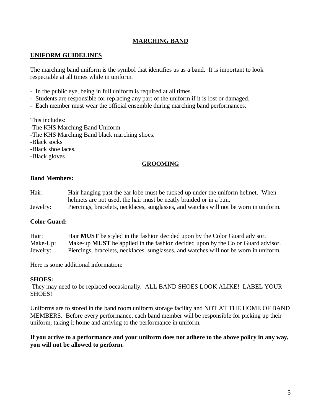### **MARCHING BAND**

#### **UNIFORM GUIDELINES**

The marching band uniform is the symbol that identifies us as a band. It is important to look respectable at all times while in uniform.

- In the public eye, being in full uniform is required at all times.
- Students are responsible for replacing any part of the uniform if it is lost or damaged.
- Each member must wear the official ensemble during marching band performances.

This includes:

-The KHS Marching Band Uniform

-The KHS Marching Band black marching shoes.

-Black socks

-Black shoe laces.

-Black gloves

#### **GROOMING**

#### **Band Members:**

- Hair: Hair hanging past the ear lobe must be tucked up under the uniform helmet. When helmets are not used, the hair must be neatly braided or in a bun.
- Jewelry: Piercings, bracelets, necklaces, sunglasses, and watches will not be worn in uniform.

#### **Color Guard:**

| Hair:    | Hair <b>MUST</b> be styled in the fashion decided upon by the Color Guard advisor.     |
|----------|----------------------------------------------------------------------------------------|
| Make-Up: | Make-up <b>MUST</b> be applied in the fashion decided upon by the Color Guard advisor. |
| Jewelry: | Piercings, bracelets, necklaces, sunglasses, and watches will not be worn in uniform.  |

Here is some additional information:

#### **SHOES:**

They may need to be replaced occasionally. ALL BAND SHOES LOOK ALIKE! LABEL YOUR SHOES!

Uniforms are to stored in the band room uniform storage facility and NOT AT THE HOME OF BAND MEMBERS. Before every performance, each band member will be responsible for picking up their uniform, taking it home and arriving to the performance in uniform.

#### **If you arrive to a performance and your uniform does not adhere to the above policy in any way, you will not be allowed to perform.**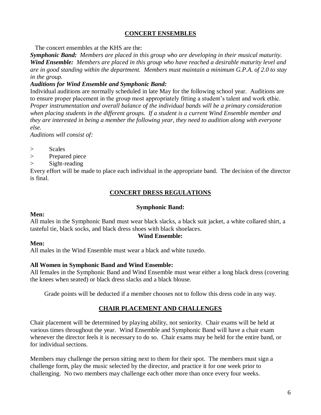#### **CONCERT ENSEMBLES**

The concert ensembles at the KHS are the:

*Symphonic Band: Members are placed in this group who are developing in their musical maturity. Wind Ensemble: Members are placed in this group who have reached a desirable maturity level and are in good standing within the department. Members must maintain a minimum G.P.A. of 2.0 to stay in the group.*

#### *Auditions for Wind Ensemble and Symphonic Band:*

Individual auditions are normally scheduled in late May for the following school year. Auditions are to ensure proper placement in the group most appropriately fitting a student's talent and work ethic. *Proper instrumentation and overall balance of the individual bands will be a primary consideration when placing students in the different groups. If a student is a current Wind Ensemble member and they are interested in being a member the following year, they need to audition along with everyone else.* 

*Auditions will consist of:*

- > Scales
- > Prepared piece
- > Sight-reading

Every effort will be made to place each individual in the appropriate band. The decision of the director is final.

#### **CONCERT DRESS REGULATIONS**

#### **Symphonic Band:**

#### **Men:**

All males in the Symphonic Band must wear black slacks, a black suit jacket, a white collared shirt, a tasteful tie, black socks, and black dress shoes with black shoelaces.

#### **Wind Ensemble:**

#### **Men:**

All males in the Wind Ensemble must wear a black and white tuxedo.

#### **All Women in Symphonic Band and Wind Ensemble:**

All females in the Symphonic Band and Wind Ensemble must wear either a long black dress (covering the knees when seated) or black dress slacks and a black blouse.

Grade points will be deducted if a member chooses not to follow this dress code in any way.

#### **CHAIR PLACEMENT AND CHALLENGES**

Chair placement will be determined by playing ability, not seniority. Chair exams will be held at various times throughout the year. Wind Ensemble and Symphonic Band will have a chair exam whenever the director feels it is necessary to do so. Chair exams may be held for the entire band, or for individual sections.

Members may challenge the person sitting next to them for their spot. The members must sign a challenge form, play the music selected by the director, and practice it for one week prior to challenging. No two members may challenge each other more than once every four weeks.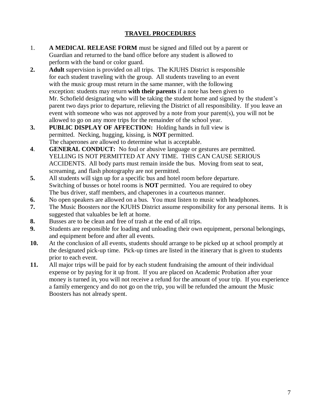#### **TRAVEL PROCEDURES**

- 1. **A MEDICAL RELEASE FORM** must be signed and filled out by a parent or Guardian and returned to the band office before any student is allowed to perform with the band or color guard.
- **2. Adult** supervision is provided on all trips. The KJUHS District is responsible for each student traveling with the group. All students traveling to an event with the music group must return in the same manner, with the following exception: students may return **with their parents** if a note has been given to Mr. Schofield designating who will be taking the student home and signed by the student's parent two days prior to departure, relieving the District of all responsibility. If you leave an event with someone who was not approved by a note from your parent(s), you will not be allowed to go on any more trips for the remainder of the school year.
- **3. PUBLIC DISPLAY OF AFFECTION:** Holding hands in full view is permitted. Necking, hugging, kissing, is **NOT** permitted. The chaperones are allowed to determine what is acceptable.
- **4**. **GENERAL CONDUCT:** No foul or abusive language or gestures are permitted. YELLING IS NOT PERMITTED AT ANY TIME. THIS CAN CAUSE SERIOUS ACCIDENTS. All body parts must remain inside the bus. Moving from seat to seat, screaming, and flash photography are not permitted.
- **5.** All students will sign up for a specific bus and hotel room before departure. Switching of busses or hotel rooms is **NOT** permitted. You are required to obey The bus driver, staff members, and chaperones in a courteous manner.
- **6.** No open speakers are allowed on a bus. You must listen to music with headphones.
- **7.** The Music Boosters nor the KJUHS District assume responsibility for any personal items. It is suggested that valuables be left at home.
- **8.** Busses are to be clean and free of trash at the end of all trips.
- **9.** Students are responsible for loading and unloading their own equipment, personal belongings, and equipment before and after all events.
- **10.** At the conclusion of all events, students should arrange to be picked up at school promptly at the designated pick-up time. Pick-up times are listed in the itinerary that is given to students prior to each event.
- **11.** All major trips will be paid for by each student fundraising the amount of their individual expense or by paying for it up front. If you are placed on Academic Probation after your money is turned in, you will not receive a refund for the amount of your trip. If you experience a family emergency and do not go on the trip, you will be refunded the amount the Music Boosters has not already spent.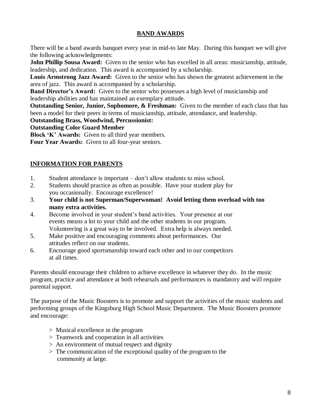#### **BAND AWARDS**

There will be a band awards banquet every year in mid-to late May. During this banquet we will give the following acknowledgments:

**John Phillip Sousa Award:** Given to the senior who has excelled in all areas: musicianship, attitude, leadership, and dedication. This award is accompanied by a scholarship.

**Louis Armstrong Jazz Award:** Given to the senior who has shown the greatest achievement in the area of jazz. This award is accompanied by a scholarship.

**Band Director's Award:** Given to the senior who possesses a high level of musicianship and leadership abilities and has maintained an exemplary attitude.

**Outstanding Senior, Junior, Sophomore, & Freshman:** Given to the member of each class that has been a model for their peers in terms of musicianship, attitude, attendance, and leadership.

#### **Outstanding Brass, Woodwind, Percussionist:**

**Outstanding Color Guard Member**

**Block 'K' Awards:** Given to all third year members.

**Four Year Awards:** Given to all four-year seniors.

### **INFORMATION FOR PARENTS**

- 1. Student attendance is important don't allow students to miss school.
- 2. Students should practice as often as possible. Have your student play for you occasionally. Encourage excellence!
- 3. **Your child is not Superman/Superwoman! Avoid letting them overload with too many extra activities.**
- 4. Become involved in your student's band activities. Your presence at our events means a lot to your child and the other students in our program. Volunteering is a great way to be involved. Extra help is always needed.
- 5. Make positive and encouraging comments about performances. Our attitudes reflect on our students.
- 6. Encourage good sportsmanship toward each other and to our competitors at all times.

Parents should encourage their children to achieve excellence in whatever they do. In the music program, practice and attendance at both rehearsals and performances is mandatory and will require parental support.

The purpose of the Music Boosters is to promote and support the activities of the music students and performing groups of the Kingsburg High School Music Department. The Music Boosters promote and encourage:

- > Musical excellence in the program
- > Teamwork and cooperation in all activities
- > An environment of mutual respect and dignity
- > The communication of the exceptional quality of the program to the community at large.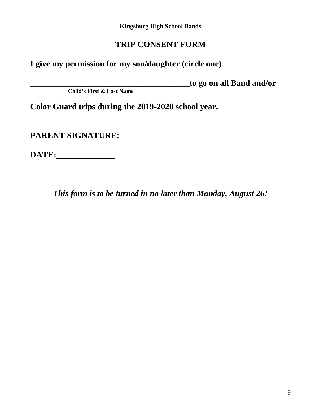**Kingsburg High School Bands**

## **TRIP CONSENT FORM**

**I give my permission for my son/daughter (circle one)** 

**\_\_\_\_\_\_\_\_\_\_\_\_\_\_\_\_\_\_\_\_\_\_\_\_\_\_\_\_\_\_\_\_\_\_\_\_\_\_to go on all Band and/or**

**Child's First & Last Name**

**Color Guard trips during the 2019-2020 school year.** 

**PARENT SIGNATURE:\_\_\_\_\_\_\_\_\_\_\_\_\_\_\_\_\_\_\_\_\_\_\_\_\_\_\_\_\_\_\_\_\_\_\_\_**

**DATE:\_\_\_\_\_\_\_\_\_\_\_\_\_\_**

*This form is to be turned in no later than Monday, August 26!*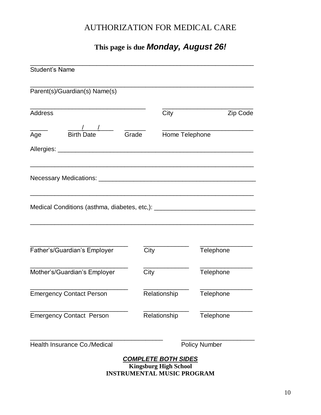## AUTHORIZATION FOR MEDICAL CARE

## **This page is due** *Monday, August 26!*

| <b>Student's Name</b>                                                            |       |                                                                                                 |                      |  |
|----------------------------------------------------------------------------------|-------|-------------------------------------------------------------------------------------------------|----------------------|--|
| Parent(s)/Guardian(s) Name(s)                                                    |       |                                                                                                 |                      |  |
| <b>Address</b>                                                                   |       | City                                                                                            | Zip Code             |  |
| <b>Birth Date</b><br>Age                                                         | Grade | Home Telephone                                                                                  |                      |  |
|                                                                                  |       |                                                                                                 |                      |  |
|                                                                                  |       |                                                                                                 |                      |  |
| Medical Conditions (asthma, diabetes, etc,): ___________________________________ |       |                                                                                                 |                      |  |
| Father's/Guardian's Employer                                                     | City  |                                                                                                 | Telephone            |  |
| Mother's/Guardian's Employer                                                     | City  |                                                                                                 | Telephone            |  |
| <b>Emergency Contact Person</b>                                                  |       | Relationship                                                                                    | Telephone            |  |
| <b>Emergency Contact Person</b>                                                  |       | Relationship                                                                                    | Telephone            |  |
| Health Insurance Co./Medical                                                     |       |                                                                                                 | <b>Policy Number</b> |  |
|                                                                                  |       | <b>COMPLETE BOTH SIDES</b><br><b>Kingsburg High School</b><br><b>INSTRUMENTAL MUSIC PROGRAM</b> |                      |  |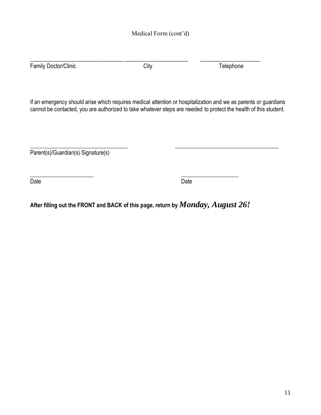Family Doctor/Clinic **City** City City **Telephone** 

**\_\_\_\_\_\_\_\_\_\_\_\_\_\_\_\_\_\_\_\_\_\_\_\_\_\_\_\_\_\_\_\_\_\_\_\_\_\_\_\_\_\_\_\_\_\_\_ \_\_\_\_\_\_\_\_\_\_\_\_\_\_\_\_\_\_**

If an emergency should arise which requires medical attention or hospitalization and we as parents or guardians cannot be contacted, you are authorized to take whatever steps are needed to protect the health of this student.

\_\_\_\_\_\_\_\_\_\_\_\_\_\_\_\_\_\_\_\_\_\_\_\_\_\_\_\_\_\_\_\_\_\_ \_\_\_\_\_\_\_\_\_\_\_\_\_\_\_\_\_\_\_\_\_\_\_\_\_\_\_\_\_\_\_\_\_\_\_\_ Parent(s)/Guardian(s) Signature(s)

 $\overline{\phantom{a}}$  , and the contract of the contract of the contract of the contract of the contract of the contract of the contract of the contract of the contract of the contract of the contract of the contract of the contrac Date **Date Date Date Date Date Date Date Date Date** 

**After filling out the FRONT and BACK of this page, return by** *Monday, August 26!*